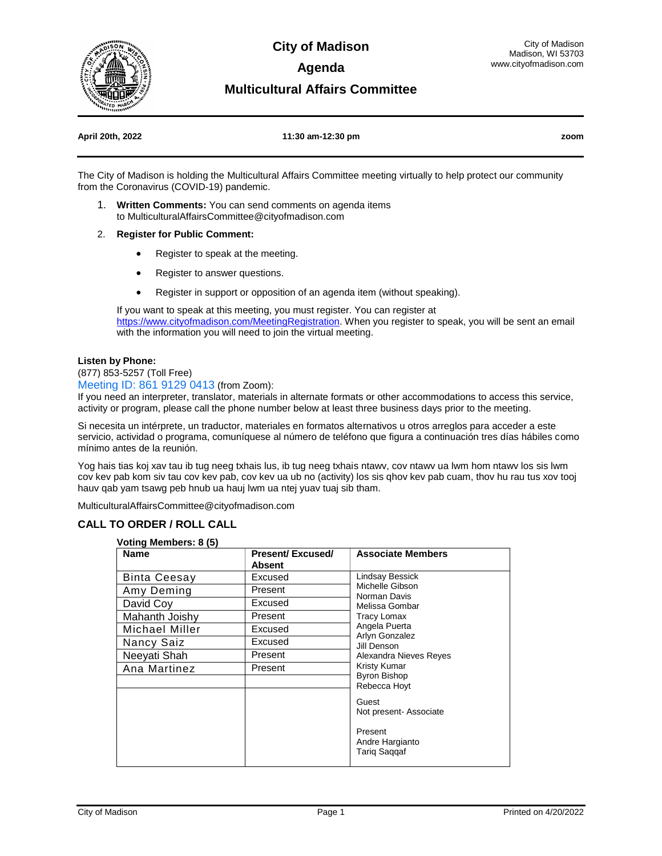

**City of Madison Agenda** 

### **Multicultural Affairs Committee**

#### **April 20th, 2022 11:30 am-12:30 pm zoom**

The City of Madison is holding the Multicultural Affairs Committee meeting virtually to help protect our community from the Coronavirus (COVID-19) pandemic.

- 1. **Written Comments:** You can send comments on agenda items to MulticulturalAffairsCommittee@cityofmadison.com
- 2. **Register for Public Comment:**
	- Register to speak at the meeting.
	- Register to answer questions.
	- Register in support or opposition of an agenda item (without speaking).

If you want to speak at this meeting, you must register. You can register at https://www.cityofmadison.com/MeetingRegistration</u>. When you register to speak, you will be sent an email with the information you will need to join the virtual meeting.

#### **Listen by Phone:**

(877) 853-5257 (Toll Free)

Meeting ID: 861 9129 0413 (from Zoom):

If you need an interpreter, translator, materials in alternate formats or other accommodations to access this service, activity or program, please call the phone number below at least three business days prior to the meeting.

Si necesita un intérprete, un traductor, materiales en formatos alternativos u otros arreglos para acceder a este servicio, actividad o programa, comuníquese al número de teléfono que figura a continuación tres días hábiles como mínimo antes de la reunión.

Yog hais tias koj xav tau ib tug neeg txhais lus, ib tug neeg txhais ntawv, cov ntawv ua lwm hom ntawv los sis lwm cov kev pab kom siv tau cov kev pab, cov kev ua ub no (activity) los sis qhov kev pab cuam, thov hu rau tus xov tooj hauv qab yam tsawg peb hnub ua hauj lwm ua ntej yuav tuaj sib tham.

MulticulturalAffairsCommittee@cityofmadison.com

#### **CALL TO ORDER / ROLL CALL**

#### **Voting Members: 8 (5)**

| <b>Name</b>         | <b>Present/Excused/</b><br>Absent | <b>Associate Members</b>                                                                                                                                                        |
|---------------------|-----------------------------------|---------------------------------------------------------------------------------------------------------------------------------------------------------------------------------|
| <b>Binta Ceesay</b> | Excused                           | Lindsay Bessick<br>Michelle Gibson<br>Norman Davis<br>Melissa Gombar<br>Tracy Lomax<br>Angela Puerta<br>Arlyn Gonzalez<br>Jill Denson<br>Alexandra Nieves Reyes<br>Kristy Kumar |
| Amy Deming          | Present                           |                                                                                                                                                                                 |
| David Coy           | Excused                           |                                                                                                                                                                                 |
| Mahanth Joishy      | Present                           |                                                                                                                                                                                 |
| Michael Miller      | Excused                           |                                                                                                                                                                                 |
| Nancy Saiz          | Excused                           |                                                                                                                                                                                 |
| Neeyati Shah        | Present                           |                                                                                                                                                                                 |
| Ana Martinez        | Present                           |                                                                                                                                                                                 |
|                     |                                   | <b>Byron Bishop</b><br>Rebecca Hoyt                                                                                                                                             |
|                     |                                   |                                                                                                                                                                                 |
|                     |                                   | Guest                                                                                                                                                                           |
|                     |                                   | Not present-Associate                                                                                                                                                           |
|                     |                                   | Present                                                                                                                                                                         |
|                     |                                   | Andre Hargianto                                                                                                                                                                 |
|                     |                                   | <b>Tarig Saggaf</b>                                                                                                                                                             |